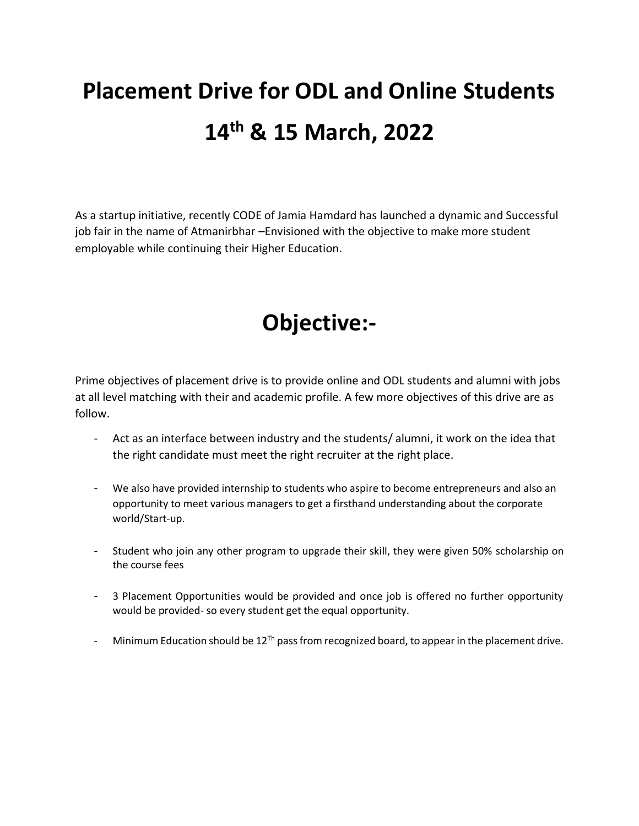# **Placement Drive for ODL and Online Students 14th & 15 March, 2022**

As a startup initiative, recently CODE of Jamia Hamdard has launched a dynamic and Successful job fair in the name of Atmanirbhar –Envisioned with the objective to make more student employable while continuing their Higher Education.

## **Objective:-**

Prime objectives of placement drive is to provide online and ODL students and alumni with jobs at all level matching with their and academic profile. A few more objectives of this drive are as follow.

- Act as an interface between industry and the students/ alumni, it work on the idea that the right candidate must meet the right recruiter at the right place.
- We also have provided internship to students who aspire to become entrepreneurs and also an opportunity to meet various managers to get a firsthand understanding about the corporate world/Start-up.
- Student who join any other program to upgrade their skill, they were given 50% scholarship on the course fees
- 3 Placement Opportunities would be provided and once job is offered no further opportunity would be provided- so every student get the equal opportunity.
- Minimum Education should be  $12^{Th}$  pass from recognized board, to appear in the placement drive.